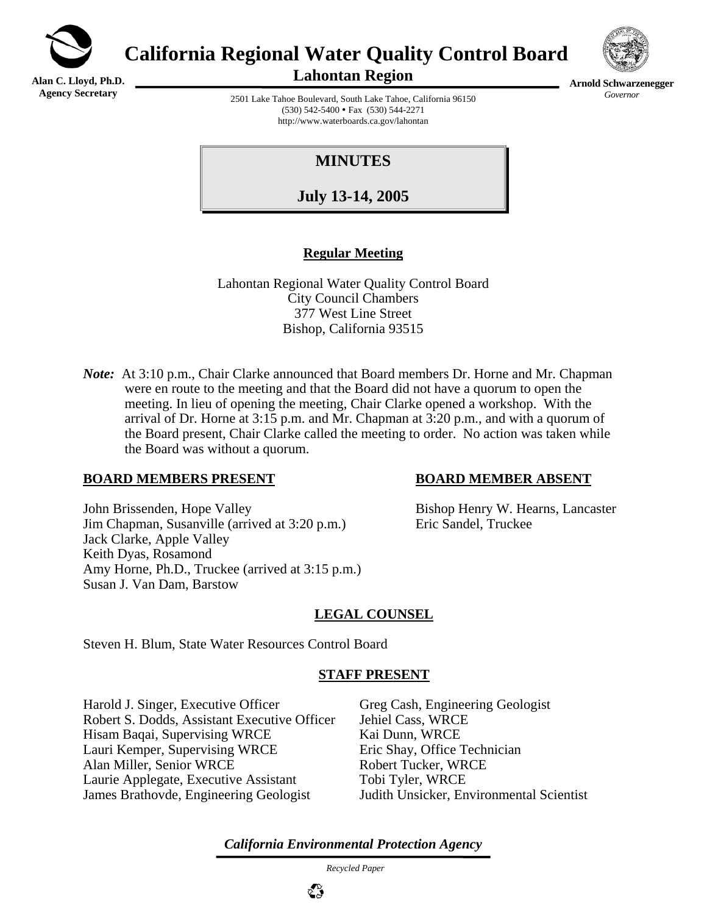

**Alan C. Lloyd, Ph.D. Agency Secretary**

**California Regional Water Quality Control Board** 





**Arnold Schwarzenegger** *Governor* 

2501 Lake Tahoe Boulevard, South Lake Tahoe, California 96150  $(530)$  542-5400 • Fax  $(530)$  544-2271 http://www.waterboards.ca.gov/lahontan

# **MINUTES**

**July 13-14, 2005**

## **Regular Meeting**

Lahontan Regional Water Quality Control Board City Council Chambers 377 West Line Street Bishop, California 93515

*Note*: At 3:10 p.m., Chair Clarke announced that Board members Dr. Horne and Mr. Chapman were en route to the meeting and that the Board did not have a quorum to open the meeting. In lieu of opening the meeting, Chair Clarke opened a workshop. With the arrival of Dr. Horne at 3:15 p.m. and Mr. Chapman at 3:20 p.m., and with a quorum of the Board present, Chair Clarke called the meeting to order. No action was taken while the Board was without a quorum.

## **BOARD MEMBERS PRESENT BOARD MEMBER ABSENT**

John Brissenden, Hope Valley Bishop Henry W. Hearns, Lancaster Jim Chapman, Susanville (arrived at 3:20 p.m.) Eric Sandel, Truckee Jack Clarke, Apple Valley Keith Dyas, Rosamond Amy Horne, Ph.D., Truckee (arrived at 3:15 p.m.) Susan J. Van Dam, Barstow

## **LEGAL COUNSEL**

Steven H. Blum, State Water Resources Control Board

#### **STAFF PRESENT**

Harold J. Singer, Executive Officer Greg Cash, Engineering Geologist Robert S. Dodds, Assistant Executive Officer Jehiel Cass, WRCE Hisam Baqai, Supervising WRCE Kai Dunn, WRCE Lauri Kemper, Supervising WRCE Eric Shay, Office Technician Alan Miller, Senior WRCE Robert Tucker, WRCE Laurie Applegate, Executive Assistant Tobi Tyler, WRCE James Brathovde, Engineering Geologist Judith Unsicker, Environmental Scientist

*California Environmental Protection Agency*

 *Recycled Paper*

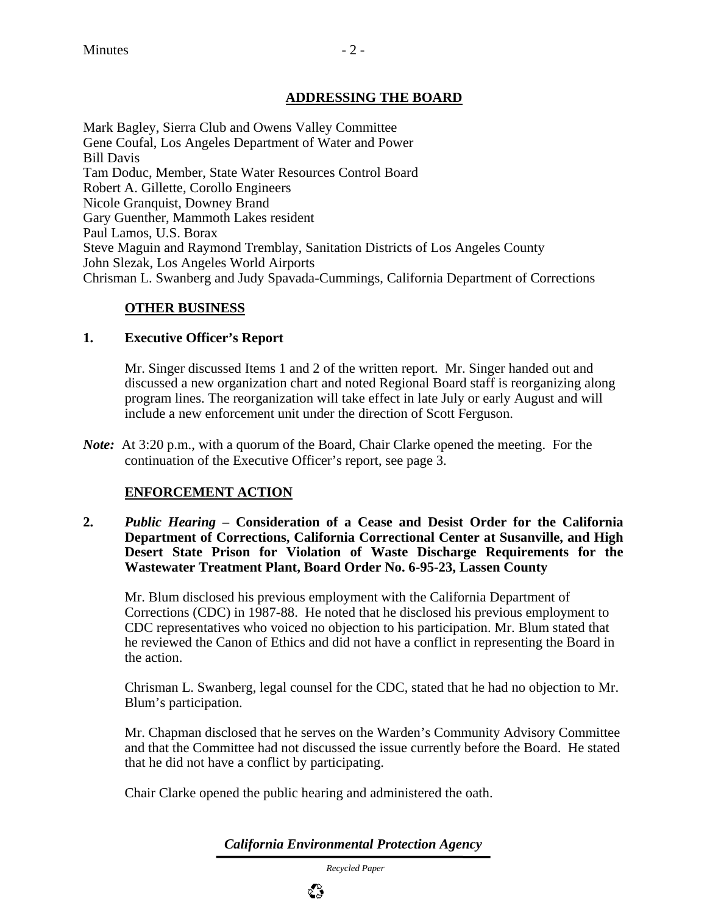## **ADDRESSING THE BOARD**

Mark Bagley, Sierra Club and Owens Valley Committee Gene Coufal, Los Angeles Department of Water and Power Bill Davis Tam Doduc, Member, State Water Resources Control Board Robert A. Gillette, Corollo Engineers Nicole Granquist, Downey Brand Gary Guenther, Mammoth Lakes resident Paul Lamos, U.S. Borax Steve Maguin and Raymond Tremblay, Sanitation Districts of Los Angeles County John Slezak, Los Angeles World Airports Chrisman L. Swanberg and Judy Spavada-Cummings, California Department of Corrections

## **OTHER BUSINESS**

## **1. Executive Officer's Report**

Mr. Singer discussed Items 1 and 2 of the written report. Mr. Singer handed out and discussed a new organization chart and noted Regional Board staff is reorganizing along program lines. The reorganization will take effect in late July or early August and will include a new enforcement unit under the direction of Scott Ferguson.

*Note*: At 3:20 p.m., with a quorum of the Board, Chair Clarke opened the meeting. For the continuation of the Executive Officer's report, see page 3.

## **ENFORCEMENT ACTION**

**2.** *Public Hearing* **– Consideration of a Cease and Desist Order for the California Department of Corrections, California Correctional Center at Susanville, and High Desert State Prison for Violation of Waste Discharge Requirements for the Wastewater Treatment Plant, Board Order No. 6-95-23, Lassen County** 

Mr. Blum disclosed his previous employment with the California Department of Corrections (CDC) in 1987-88. He noted that he disclosed his previous employment to CDC representatives who voiced no objection to his participation. Mr. Blum stated that he reviewed the Canon of Ethics and did not have a conflict in representing the Board in the action.

Chrisman L. Swanberg, legal counsel for the CDC, stated that he had no objection to Mr. Blum's participation.

Mr. Chapman disclosed that he serves on the Warden's Community Advisory Committee and that the Committee had not discussed the issue currently before the Board. He stated that he did not have a conflict by participating.

Chair Clarke opened the public hearing and administered the oath.

*California Environmental Protection Agency*

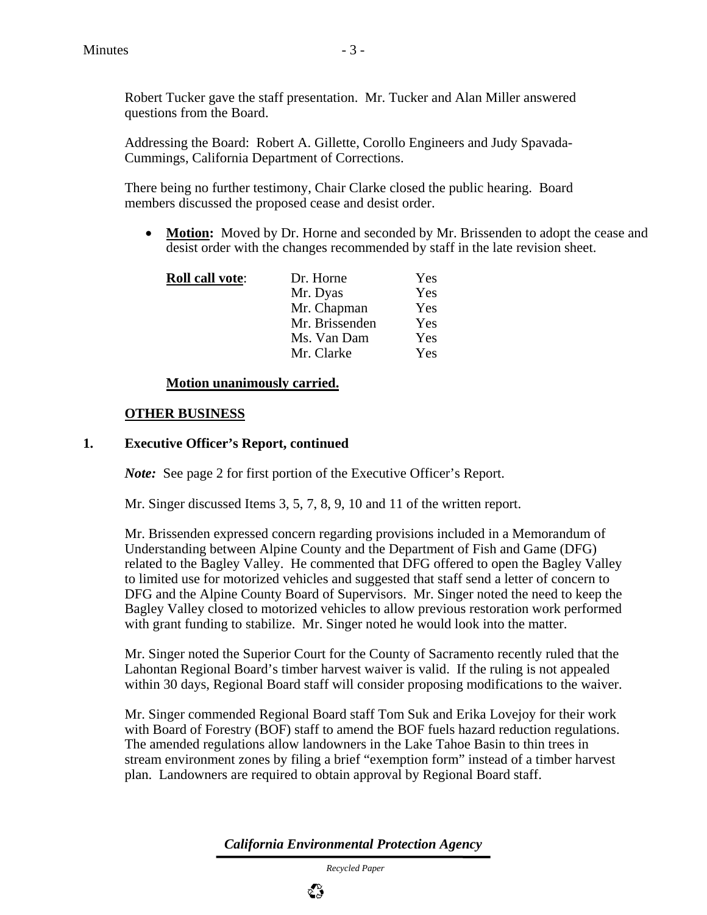Robert Tucker gave the staff presentation. Mr. Tucker and Alan Miller answered questions from the Board.

Addressing the Board: Robert A. Gillette, Corollo Engineers and Judy Spavada-Cummings, California Department of Corrections.

There being no further testimony, Chair Clarke closed the public hearing. Board members discussed the proposed cease and desist order.

• **Motion:** Moved by Dr. Horne and seconded by Mr. Brissenden to adopt the cease and desist order with the changes recommended by staff in the late revision sheet.

| <b>Roll call vote:</b> | Dr. Horne      | Yes |
|------------------------|----------------|-----|
|                        | Mr. Dyas       | Yes |
|                        | Mr. Chapman    | Yes |
|                        | Mr. Brissenden | Yes |
|                        | Ms. Van Dam    | Yes |
|                        | Mr. Clarke     | Yes |

## **Motion unanimously carried.**

## **OTHER BUSINESS**

#### **1. Executive Officer's Report, continued**

*Note:* See page 2 for first portion of the Executive Officer's Report.

Mr. Singer discussed Items 3, 5, 7, 8, 9, 10 and 11 of the written report.

Mr. Brissenden expressed concern regarding provisions included in a Memorandum of Understanding between Alpine County and the Department of Fish and Game (DFG) related to the Bagley Valley. He commented that DFG offered to open the Bagley Valley to limited use for motorized vehicles and suggested that staff send a letter of concern to DFG and the Alpine County Board of Supervisors. Mr. Singer noted the need to keep the Bagley Valley closed to motorized vehicles to allow previous restoration work performed with grant funding to stabilize. Mr. Singer noted he would look into the matter.

Mr. Singer noted the Superior Court for the County of Sacramento recently ruled that the Lahontan Regional Board's timber harvest waiver is valid. If the ruling is not appealed within 30 days, Regional Board staff will consider proposing modifications to the waiver.

Mr. Singer commended Regional Board staff Tom Suk and Erika Lovejoy for their work with Board of Forestry (BOF) staff to amend the BOF fuels hazard reduction regulations. The amended regulations allow landowners in the Lake Tahoe Basin to thin trees in stream environment zones by filing a brief "exemption form" instead of a timber harvest plan. Landowners are required to obtain approval by Regional Board staff.

*California Environmental Protection Agency*

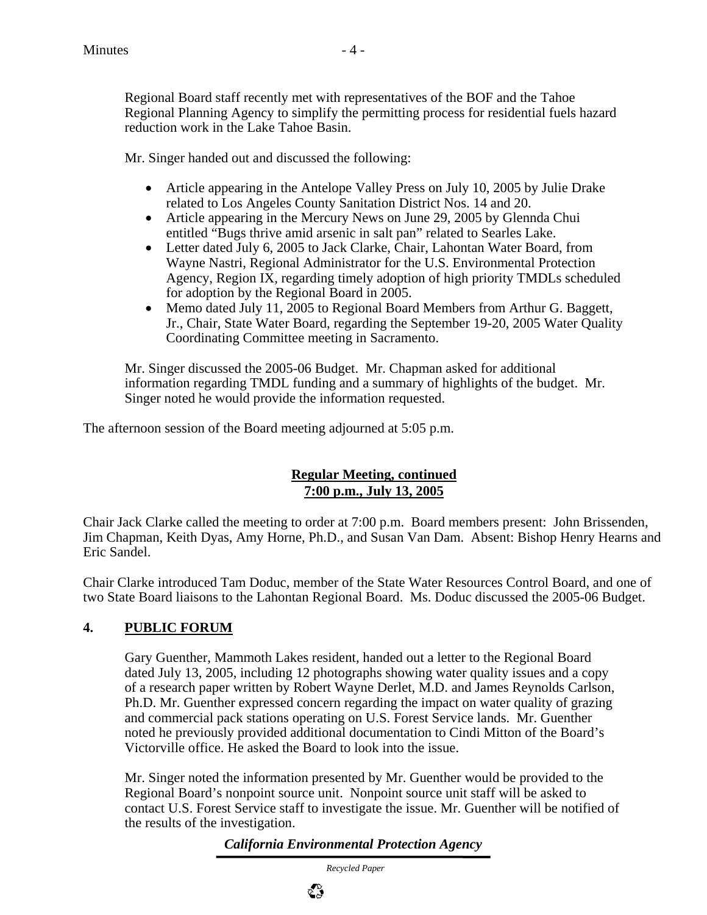Regional Board staff recently met with representatives of the BOF and the Tahoe Regional Planning Agency to simplify the permitting process for residential fuels hazard reduction work in the Lake Tahoe Basin.

Mr. Singer handed out and discussed the following:

- Article appearing in the Antelope Valley Press on July 10, 2005 by Julie Drake related to Los Angeles County Sanitation District Nos. 14 and 20.
- Article appearing in the Mercury News on June 29, 2005 by Glennda Chui entitled "Bugs thrive amid arsenic in salt pan" related to Searles Lake.
- Letter dated July 6, 2005 to Jack Clarke, Chair, Lahontan Water Board, from Wayne Nastri, Regional Administrator for the U.S. Environmental Protection Agency, Region IX, regarding timely adoption of high priority TMDLs scheduled for adoption by the Regional Board in 2005.
- Memo dated July 11, 2005 to Regional Board Members from Arthur G. Baggett, Jr., Chair, State Water Board, regarding the September 19-20, 2005 Water Quality Coordinating Committee meeting in Sacramento.

Mr. Singer discussed the 2005-06 Budget. Mr. Chapman asked for additional information regarding TMDL funding and a summary of highlights of the budget. Mr. Singer noted he would provide the information requested.

The afternoon session of the Board meeting adjourned at 5:05 p.m.

## **Regular Meeting, continued 7:00 p.m., July 13, 2005**

Chair Jack Clarke called the meeting to order at 7:00 p.m. Board members present: John Brissenden, Jim Chapman, Keith Dyas, Amy Horne, Ph.D., and Susan Van Dam. Absent: Bishop Henry Hearns and Eric Sandel.

Chair Clarke introduced Tam Doduc, member of the State Water Resources Control Board, and one of two State Board liaisons to the Lahontan Regional Board. Ms. Doduc discussed the 2005-06 Budget.

## **4. PUBLIC FORUM**

Gary Guenther, Mammoth Lakes resident, handed out a letter to the Regional Board dated July 13, 2005, including 12 photographs showing water quality issues and a copy of a research paper written by Robert Wayne Derlet, M.D. and James Reynolds Carlson, Ph.D. Mr. Guenther expressed concern regarding the impact on water quality of grazing and commercial pack stations operating on U.S. Forest Service lands. Mr. Guenther noted he previously provided additional documentation to Cindi Mitton of the Board's Victorville office. He asked the Board to look into the issue.

Mr. Singer noted the information presented by Mr. Guenther would be provided to the Regional Board's nonpoint source unit. Nonpoint source unit staff will be asked to contact U.S. Forest Service staff to investigate the issue. Mr. Guenther will be notified of the results of the investigation.

*California Environmental Protection Agency*

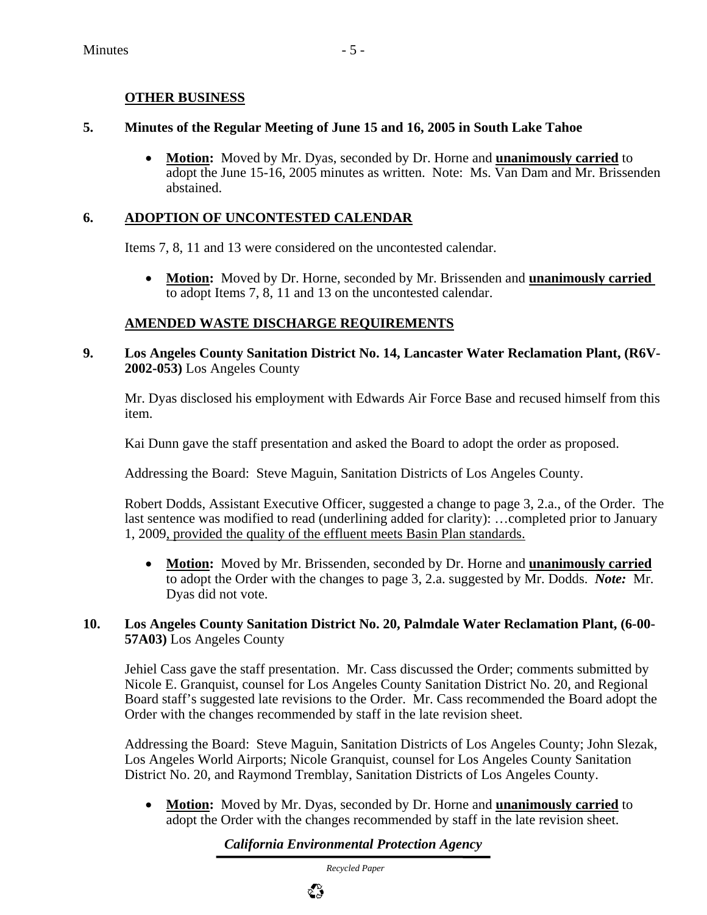## **OTHER BUSINESS**

## **5. Minutes of the Regular Meeting of June 15 and 16, 2005 in South Lake Tahoe**

• **Motion:** Moved by Mr. Dyas, seconded by Dr. Horne and **unanimously carried** to adopt the June 15-16, 2005 minutes as written. Note: Ms. Van Dam and Mr. Brissenden abstained.

## **6. ADOPTION OF UNCONTESTED CALENDAR**

Items 7, 8, 11 and 13 were considered on the uncontested calendar.

• **Motion:** Moved by Dr. Horne, seconded by Mr. Brissenden and **unanimously carried**  to adopt Items 7, 8, 11 and 13 on the uncontested calendar.

## **AMENDED WASTE DISCHARGE REQUIREMENTS**

## **9. Los Angeles County Sanitation District No. 14, Lancaster Water Reclamation Plant, (R6V-2002-053)** Los Angeles County

Mr. Dyas disclosed his employment with Edwards Air Force Base and recused himself from this item.

Kai Dunn gave the staff presentation and asked the Board to adopt the order as proposed.

Addressing the Board: Steve Maguin, Sanitation Districts of Los Angeles County.

Robert Dodds, Assistant Executive Officer, suggested a change to page 3, 2.a., of the Order. The last sentence was modified to read (underlining added for clarity): …completed prior to January 1, 2009, provided the quality of the effluent meets Basin Plan standards.

• **Motion:** Moved by Mr. Brissenden, seconded by Dr. Horne and **unanimously carried** to adopt the Order with the changes to page 3, 2.a. suggested by Mr. Dodds. *Note:* Mr. Dyas did not vote.

## **10. Los Angeles County Sanitation District No. 20, Palmdale Water Reclamation Plant, (6-00- 57A03)** Los Angeles County

Jehiel Cass gave the staff presentation. Mr. Cass discussed the Order; comments submitted by Nicole E. Granquist, counsel for Los Angeles County Sanitation District No. 20, and Regional Board staff's suggested late revisions to the Order. Mr. Cass recommended the Board adopt the Order with the changes recommended by staff in the late revision sheet.

Addressing the Board: Steve Maguin, Sanitation Districts of Los Angeles County; John Slezak, Los Angeles World Airports; Nicole Granquist, counsel for Los Angeles County Sanitation District No. 20, and Raymond Tremblay, Sanitation Districts of Los Angeles County.

• **Motion:** Moved by Mr. Dyas, seconded by Dr. Horne and **unanimously carried** to adopt the Order with the changes recommended by staff in the late revision sheet.

## *California Environmental Protection Agency*

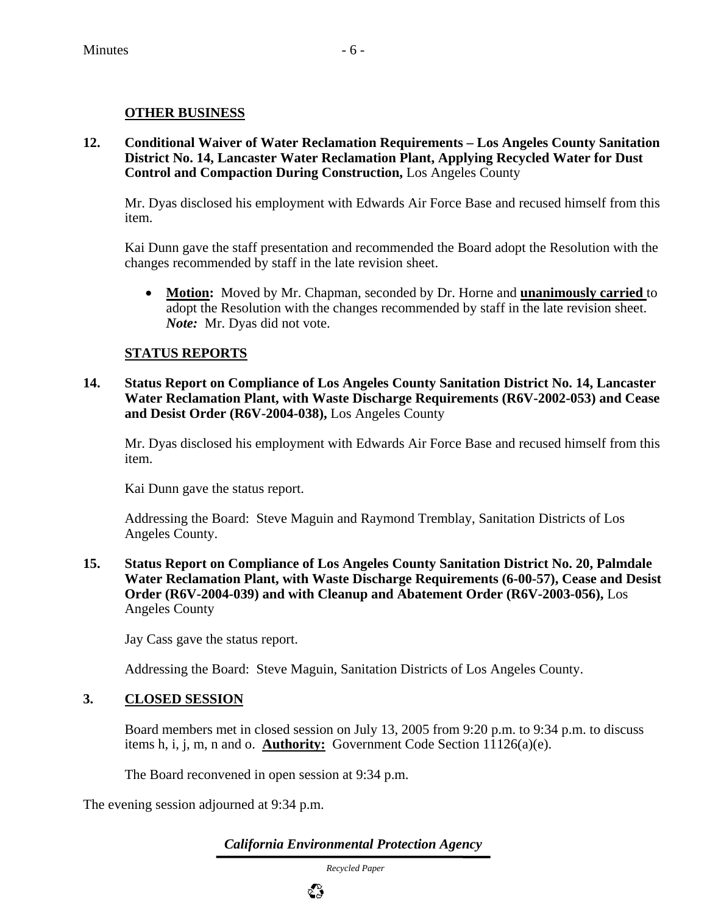## **OTHER BUSINESS**

**12. Conditional Waiver of Water Reclamation Requirements – Los Angeles County Sanitation District No. 14, Lancaster Water Reclamation Plant, Applying Recycled Water for Dust Control and Compaction During Construction,** Los Angeles County

Mr. Dyas disclosed his employment with Edwards Air Force Base and recused himself from this item.

Kai Dunn gave the staff presentation and recommended the Board adopt the Resolution with the changes recommended by staff in the late revision sheet.

• **Motion:** Moved by Mr. Chapman, seconded by Dr. Horne and **unanimously carried** to adopt the Resolution with the changes recommended by staff in the late revision sheet. *Note:* Mr. Dyas did not vote.

## **STATUS REPORTS**

**14. Status Report on Compliance of Los Angeles County Sanitation District No. 14, Lancaster Water Reclamation Plant, with Waste Discharge Requirements (R6V-2002-053) and Cease and Desist Order (R6V-2004-038),** Los Angeles County

Mr. Dyas disclosed his employment with Edwards Air Force Base and recused himself from this item.

Kai Dunn gave the status report.

Addressing the Board: Steve Maguin and Raymond Tremblay, Sanitation Districts of Los Angeles County.

**15. Status Report on Compliance of Los Angeles County Sanitation District No. 20, Palmdale Water Reclamation Plant, with Waste Discharge Requirements (6-00-57), Cease and Desist Order (R6V-2004-039) and with Cleanup and Abatement Order (R6V-2003-056),** Los Angeles County

Jay Cass gave the status report.

Addressing the Board: Steve Maguin, Sanitation Districts of Los Angeles County.

## **3. CLOSED SESSION**

Board members met in closed session on July 13, 2005 from 9:20 p.m. to 9:34 p.m. to discuss items h, i, j, m, n and o. **Authority:** Government Code Section 11126(a)(e).

The Board reconvened in open session at 9:34 p.m.

The evening session adjourned at 9:34 p.m.

*California Environmental Protection Agency*

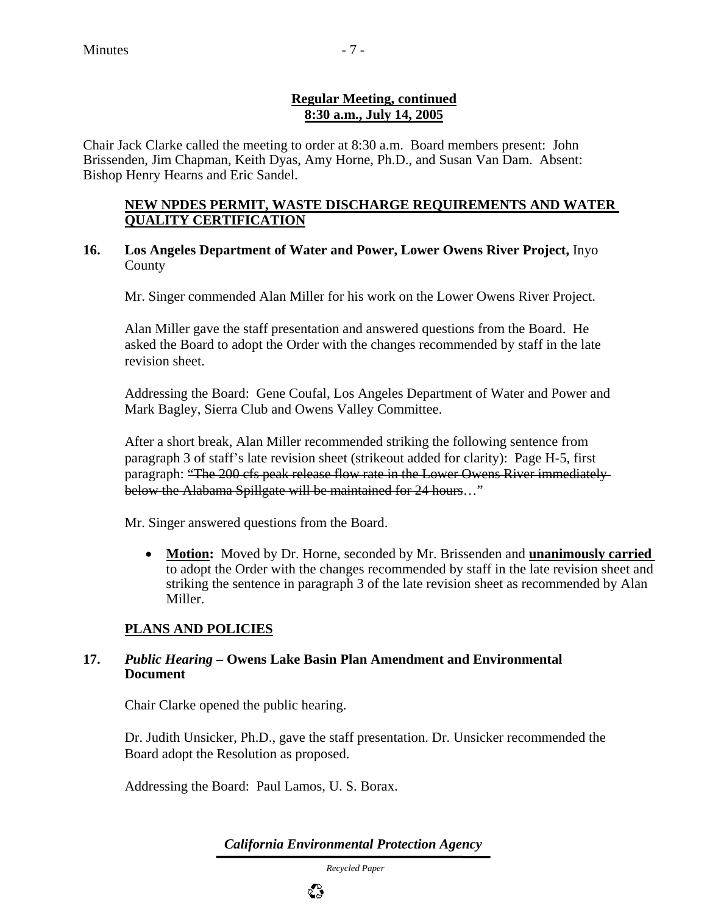## **Regular Meeting, continued 8:30 a.m., July 14, 2005**

Chair Jack Clarke called the meeting to order at 8:30 a.m. Board members present: John Brissenden, Jim Chapman, Keith Dyas, Amy Horne, Ph.D., and Susan Van Dam. Absent: Bishop Henry Hearns and Eric Sandel.

## **NEW NPDES PERMIT, WASTE DISCHARGE REQUIREMENTS AND WATER QUALITY CERTIFICATION**

## **16. Los Angeles Department of Water and Power, Lower Owens River Project,** Inyo County

Mr. Singer commended Alan Miller for his work on the Lower Owens River Project.

Alan Miller gave the staff presentation and answered questions from the Board. He asked the Board to adopt the Order with the changes recommended by staff in the late revision sheet.

Addressing the Board: Gene Coufal, Los Angeles Department of Water and Power and Mark Bagley, Sierra Club and Owens Valley Committee.

After a short break, Alan Miller recommended striking the following sentence from paragraph 3 of staff's late revision sheet (strikeout added for clarity): Page H-5, first paragraph: "The 200 cfs peak release flow rate in the Lower Owens River immediately below the Alabama Spillgate will be maintained for 24 hours..."

Mr. Singer answered questions from the Board.

• **Motion:** Moved by Dr. Horne, seconded by Mr. Brissenden and **unanimously carried**  to adopt the Order with the changes recommended by staff in the late revision sheet and striking the sentence in paragraph 3 of the late revision sheet as recommended by Alan Miller.

## **PLANS AND POLICIES**

## **17.** *Public Hearing* **– Owens Lake Basin Plan Amendment and Environmental Document**

Chair Clarke opened the public hearing.

Dr. Judith Unsicker, Ph.D., gave the staff presentation. Dr. Unsicker recommended the Board adopt the Resolution as proposed.

Addressing the Board: Paul Lamos, U. S. Borax.

*California Environmental Protection Agency*